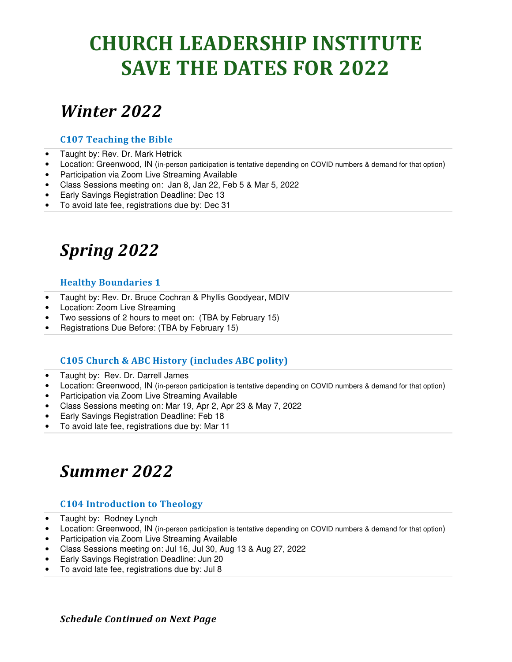## **CHURCH LEADERSHIP INSTITUTE SAVE THE DATES FOR 2022**

### *Winter 2022*

#### **C107 Teaching the Bible**

- Taught by: Rev. Dr. Mark Hetrick
- Location: Greenwood, IN (in-person participation is tentative depending on COVID numbers & demand for that option)
- Participation via Zoom Live Streaming Available
- Class Sessions meeting on: Jan 8, Jan 22, Feb 5 & Mar 5, 2022
- Early Savings Registration Deadline: Dec 13
- To avoid late fee, registrations due by: Dec 31

## *Spring 2022*

#### **Healthy Boundaries 1**

- Taught by: Rev. Dr. Bruce Cochran & Phyllis Goodyear, MDIV
- Location: Zoom Live Streaming
- Two sessions of 2 hours to meet on: (TBA by February 15)
- Registrations Due Before: (TBA by February 15)

#### **C105 Church & ABC History (includes ABC polity)**

- Taught by: Rev. Dr. Darrell James
- Location: Greenwood, IN (in-person participation is tentative depending on COVID numbers & demand for that option)
- Participation via Zoom Live Streaming Available
- Class Sessions meeting on: Mar 19, Apr 2, Apr 23 & May 7, 2022
- Early Savings Registration Deadline: Feb 18
- To avoid late fee, registrations due by: Mar 11

### *Summer 2022*

#### **C104 Introduction to Theology**

- Taught by: Rodney Lynch
- Location: Greenwood, IN (in-person participation is tentative depending on COVID numbers & demand for that option)
- Participation via Zoom Live Streaming Available
- Class Sessions meeting on: Jul 16, Jul 30, Aug 13 & Aug 27, 2022
- Early Savings Registration Deadline: Jun 20
- To avoid late fee, registrations due by: Jul 8

*Schedule Continued on Next Page*